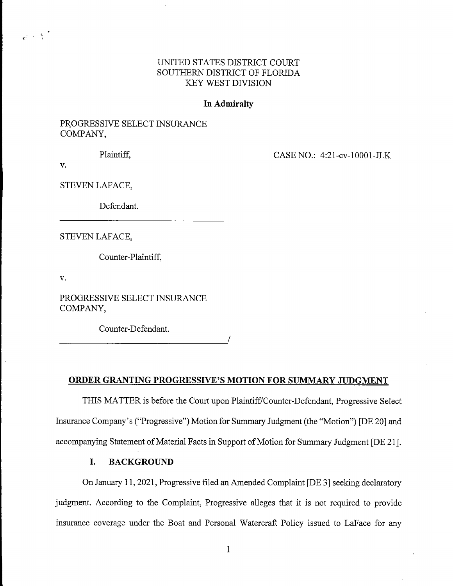# UNITED STATES DISTRICT COURT SOUTHERN DISTRICT OF FLORIDA **KEY WEST DIVISION**

## In Admiralty

# PROGRESSIVE SELECT INSURANCE COMPANY,

Plaintiff.

CASE NO.: 4:21-cv-10001-JLK

 $V_{\star}$ 

 $\mathcal{L} \rightarrow \mathcal{A}$ 

STEVEN LAFACE,

Defendant.

STEVEN LAFACE,

Counter-Plaintiff,

 $\mathbf{v}$ .

PROGRESSIVE SELECT INSURANCE COMPANY,

Counter-Defendant.

## ORDER GRANTING PROGRESSIVE'S MOTION FOR SUMMARY JUDGMENT

THIS MATTER is before the Court upon Plaintiff/Counter-Defendant, Progressive Select Insurance Company's ("Progressive") Motion for Summary Judgment (the "Motion") [DE 20] and accompanying Statement of Material Facts in Support of Motion for Summary Judgment [DE 21].

#### L. **BACKGROUND**

On January 11, 2021, Progressive filed an Amended Complaint [DE 3] seeking declaratory judgment. According to the Complaint, Progressive alleges that it is not required to provide insurance coverage under the Boat and Personal Watercraft Policy issued to LaFace for any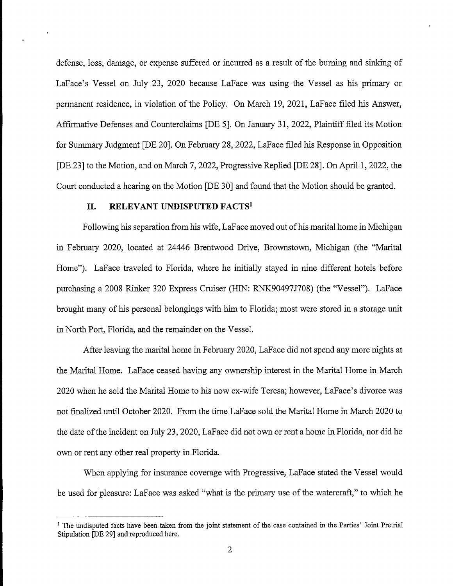defense, loss, damage, or expense suffered or incurred as a result of the burning and sinking of LaFace's Vessel on July 23, 2020 because LaFace was using the Vessel as his primary or permanent residence, in violation of the Policy. On March 19, 2021, LaFace filed his Answer, Affirmative Defenses and Counterclaims [DE 5]. On January 31, 2022, Plaintiff filed its Motion for Summary Judgment [DE 20]. On February 28, 2022, LaFace filed his Response in Opposition [DE 23] to the Motion, and on March 7, 2022, Progressive Replied [DE 28]. On April 1, 2022, the Court conducted a hearing on the Motion [DE 30] and found that the Motion should be granted.

### RELEVANT UNDISPUTED FACTS<sup>1</sup> II.

Following his separation from his wife, LaFace moved out of his marital home in Michigan in February 2020, located at 24446 Brentwood Drive, Brownstown, Michigan (the "Marital Home"). LaFace traveled to Florida, where he initially stayed in nine different hotels before purchasing a 2008 Rinker 320 Express Cruiser (HIN: RNK90497J708) (the "Vessel"). LaFace brought many of his personal belongings with him to Florida; most were stored in a storage unit in North Port, Florida, and the remainder on the Vessel.

After leaving the marital home in February 2020, LaFace did not spend any more nights at the Marital Home. LaFace ceased having any ownership interest in the Marital Home in March 2020 when he sold the Marital Home to his now ex-wife Teresa; however, LaFace's divorce was not finalized until October 2020. From the time LaFace sold the Marital Home in March 2020 to the date of the incident on July 23, 2020, LaFace did not own or rent a home in Florida, nor did he own or rent any other real property in Florida.

When applying for insurance coverage with Progressive, LaFace stated the Vessel would be used for pleasure: LaFace was asked "what is the primary use of the watercraft," to which he

<sup>&</sup>lt;sup>1</sup> The undisputed facts have been taken from the joint statement of the case contained in the Parties' Joint Pretrial Stipulation [DE 29] and reproduced here.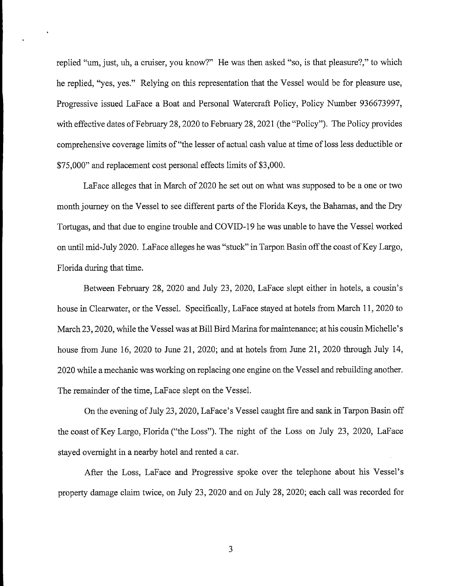replied "um, just, uh, a cruiser, you know?" He was then asked "so, is that pleasure?," to which he replied, "yes, yes." Relying on this representation that the Vessel would be for pleasure use, Progressive issued LaFace a Boat and Personal Watercraft Policy, Policy Number 936673997, with effective dates of February 28, 2020 to February 28, 2021 (the "Policy"). The Policy provides comprehensive coverage limits of "the lesser of actual cash value at time of loss less deductible or \$75,000" and replacement cost personal effects limits of \$3,000.

LaFace alleges that in March of 2020 he set out on what was supposed to be a one or two month journey on the Vessel to see different parts of the Florida Keys, the Bahamas, and the Dry Tortugas, and that due to engine trouble and COVID-19 he was unable to have the Vessel worked on until mid-July 2020. LaFace alleges he was "stuck" in Tarpon Basin off the coast of Key Largo, Florida during that time.

Between February 28, 2020 and July 23, 2020, LaFace slept either in hotels, a cousin's house in Clearwater, or the Vessel. Specifically, LaFace stayed at hotels from March 11, 2020 to March 23, 2020, while the Vessel was at Bill Bird Marina for maintenance; at his cousin Michelle's house from June 16, 2020 to June 21, 2020; and at hotels from June 21, 2020 through July 14, 2020 while a mechanic was working on replacing one engine on the Vessel and rebuilding another. The remainder of the time, LaFace slept on the Vessel.

On the evening of July 23, 2020, LaFace's Vessel caught fire and sank in Tarpon Basin off the coast of Key Largo, Florida ("the Loss"). The night of the Loss on July 23, 2020, LaFace stayed overnight in a nearby hotel and rented a car.

After the Loss, LaFace and Progressive spoke over the telephone about his Vessel's property damage claim twice, on July 23, 2020 and on July 28, 2020; each call was recorded for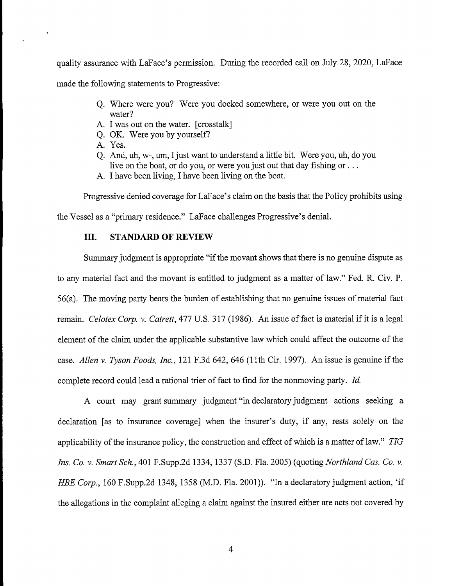quality assurance with LaFace's permission. During the recorded call on July 28, 2020, LaFace made the following statements to Progressive:

- O. Where were you? Were you docked somewhere, or were you out on the water?
- A. I was out on the water. [crosstalk]
- Q. OK. Were you by yourself?
- A. Yes.
- Q. And, uh, w-, um, I just want to understand a little bit. Were you, uh, do you live on the boat, or do you, or were you just out that day fishing or ...
- A. I have been living. I have been living on the boat.

Progressive denied coverage for LaFace's claim on the basis that the Policy prohibits using

the Vessel as a "primary residence." LaFace challenges Progressive's denial.

### **STANDARD OF REVIEW III.**

Summary judgment is appropriate "if the movant shows that there is no genuine dispute as to any material fact and the movant is entitled to judgment as a matter of law." Fed. R. Civ. P. 56(a). The moving party bears the burden of establishing that no genuine issues of material fact remain. Celotex Corp. v. Catrett, 477 U.S. 317 (1986). An issue of fact is material if it is a legal element of the claim under the applicable substantive law which could affect the outcome of the case. Allen v. Tyson Foods, Inc., 121 F.3d 642, 646 (11th Cir. 1997). An issue is genuine if the complete record could lead a rational trier of fact to find for the nonmoving party. Id.

A court may grant summary judgment "in declaratory judgment actions seeking a declaration [as to insurance coverage] when the insurer's duty, if any, rests solely on the applicability of the insurance policy, the construction and effect of which is a matter of law." TIG Ins. Co. v. Smart Sch., 401 F.Supp.2d 1334, 1337 (S.D. Fla. 2005) (quoting Northland Cas. Co. v. HBE Corp., 160 F.Supp.2d 1348, 1358 (M.D. Fla. 2001)). "In a declaratory judgment action, 'if the allegations in the complaint alleging a claim against the insured either are acts not covered by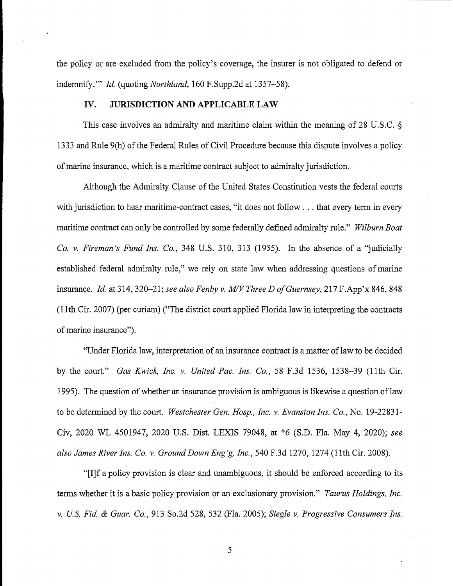the policy or are excluded from the policy's coverage, the insurer is not obligated to defend or indemnify." *Id.* (quoting *Northland*, 160 F.Supp.2d at 1357–58).

#### IV. **JURISDICTION AND APPLICABLE LAW**

This case involves an admiralty and maritime claim within the meaning of 28 U.S.C.  $\S$ 1333 and Rule 9(h) of the Federal Rules of Civil Procedure because this dispute involves a policy of marine insurance, which is a maritime contract subject to admiralty jurisdiction.

Although the Admiralty Clause of the United States Constitution vests the federal courts with jurisdiction to hear maritime-contract cases, "it does not follow . . . that every term in every maritime contract can only be controlled by some federally defined admiralty rule." Wilburn Boat Co. v. Fireman's Fund Ins. Co., 348 U.S. 310, 313 (1955). In the absence of a "judicially established federal admiralty rule," we rely on state law when addressing questions of marine insurance. Id. at 314, 320-21; see also Fenby v. M/V Three D of Guernsey, 217 F.App'x 846, 848 (11th Cir. 2007) (per curiam) ("The district court applied Florida law in interpreting the contracts of marine insurance").

"Under Florida law, interpretation of an insurance contract is a matter of law to be decided by the court." Gas Kwick, Inc. v. United Pac. Ins. Co., 58 F.3d 1536, 1538-39 (11th Cir. 1995). The question of whether an insurance provision is ambiguous is likewise a question of law to be determined by the court. Westchester Gen. Hosp., Inc. v. Evanston Ins. Co., No. 19-22831-Civ, 2020 WL 4501947, 2020 U.S. Dist. LEXIS 79048, at \*6 (S.D. Fla. May 4, 2020); see also James River Ins. Co. v. Ground Down Eng'g, Inc., 540 F.3d 1270, 1274 (11th Cir. 2008).

"[I] f a policy provision is clear and unambiguous, it should be enforced according to its terms whether it is a basic policy provision or an exclusionary provision." Taurus Holdings, Inc. v. U.S. Fid. & Guar. Co., 913 So.2d 528, 532 (Fla. 2005); Siegle v. Progressive Consumers Ins.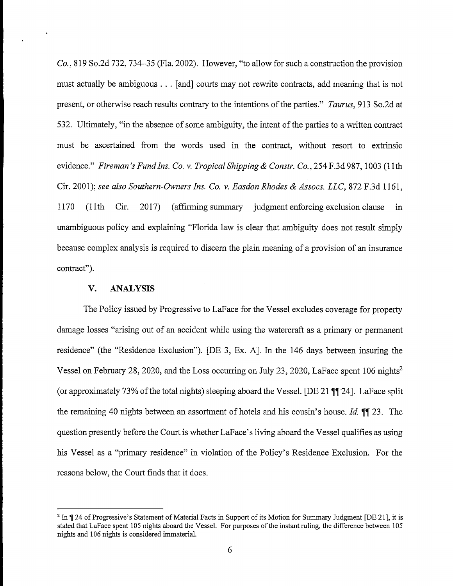$Co.$ , 819 So.2d 732, 734–35 (Fla. 2002). However, "to allow for such a construction the provision must actually be ambiguous . . . [and] courts may not rewrite contracts, add meaning that is not present, or otherwise reach results contrary to the intentions of the parties." Taurus, 913 So.2d at 532. Ultimately, "in the absence of some ambiguity, the intent of the parties to a written contract must be ascertained from the words used in the contract, without resort to extrinsic evidence." Fireman's Fund Ins. Co. v. Tropical Shipping & Constr. Co., 254 F.3d 987, 1003 (11th Cir. 2001); see also Southern-Owners Ins. Co. v. Easdon Rhodes & Assocs. LLC, 872 F.3d 1161, 1170  $(11th)$ Cir.  $2017$ (affirming summary judgment enforcing exclusion clause) in unambiguous policy and explaining "Florida law is clear that ambiguity does not result simply because complex analysis is required to discern the plain meaning of a provision of an insurance contract").

#### $\mathbf{V}_{\bullet}$ **ANALYSIS**

The Policy issued by Progressive to LaFace for the Vessel excludes coverage for property damage losses "arising out of an accident while using the watercraft as a primary or permanent residence" (the "Residence Exclusion"). [DE 3, Ex. A]. In the 146 days between insuring the Vessel on February 28, 2020, and the Loss occurring on July 23, 2020, LaFace spent 106 nights<sup>2</sup> (or approximately 73% of the total nights) sleeping aboard the Vessel. [DE 21 ¶ [24]. LaFace split the remaining 40 nights between an assortment of hotels and his cousin's house. Id. II 23. The question presently before the Court is whether LaFace's living aboard the Vessel qualifies as using his Vessel as a "primary residence" in violation of the Policy's Residence Exclusion. For the reasons below, the Court finds that it does.

<sup>&</sup>lt;sup>2</sup> In ¶ 24 of Progressive's Statement of Material Facts in Support of its Motion for Summary Judgment [DE 21], it is stated that LaFace spent 105 nights aboard the Vessel. For purposes of the instant ruling, the difference between 105 nights and 106 nights is considered immaterial.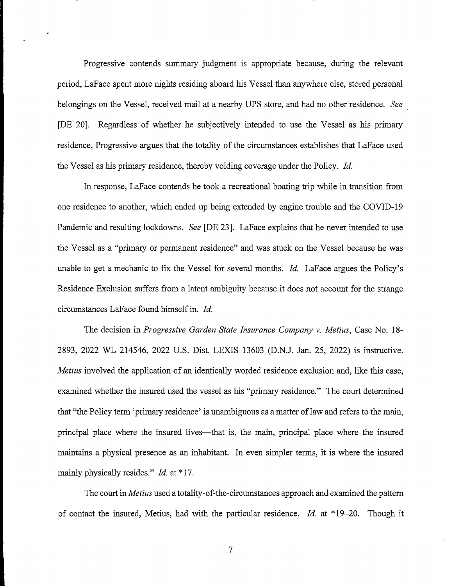Progressive contends summary judgment is appropriate because, during the relevant period, LaFace spent more nights residing aboard his Vessel than anywhere else, stored personal belongings on the Vessel, received mail at a nearby UPS store, and had no other residence. See [DE 20]. Regardless of whether he subjectively intended to use the Vessel as his primary residence, Progressive argues that the totality of the circumstances establishes that LaFace used the Vessel as his primary residence, thereby voiding coverage under the Policy. Id.

In response, LaFace contends he took a recreational boating trip while in transition from one residence to another, which ended up being extended by engine trouble and the COVID-19 Pandemic and resulting lockdowns. See [DE 23]. LaFace explains that he never intended to use the Vessel as a "primary or permanent residence" and was stuck on the Vessel because he was unable to get a mechanic to fix the Vessel for several months. *Id.* LaFace argues the Policy's Residence Exclusion suffers from a latent ambiguity because it does not account for the strange circumstances LaFace found himself in. Id.

The decision in Progressive Garden State Insurance Company v. Metius, Case No. 18-2893, 2022 WL 214546, 2022 U.S. Dist. LEXIS 13603 (D.N.J. Jan. 25, 2022) is instructive. Metius involved the application of an identically worded residence exclusion and, like this case, examined whether the insured used the vessel as his "primary residence." The court determined that "the Policy term 'primary residence' is unambiguous as a matter of law and refers to the main, principal place where the insured lives—that is, the main, principal place where the insured maintains a physical presence as an inhabitant. In even simpler terms, it is where the insured mainly physically resides." Id. at \*17.

The court in *Metius* used a totality-of-the-circumstances approach and examined the pattern of contact the insured, Metius, had with the particular residence. *Id.* at \*19–20. Though it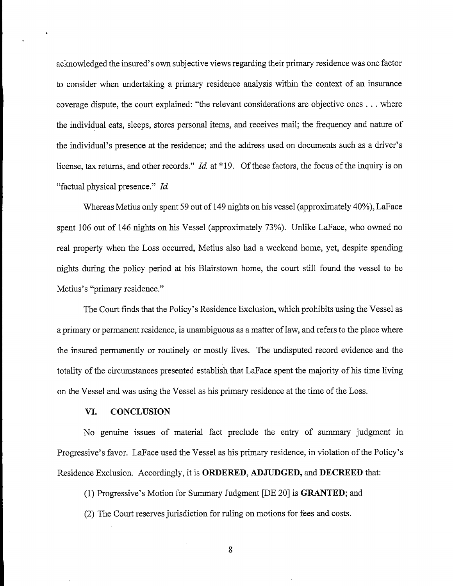acknowledged the insured's own subjective views regarding their primary residence was one factor to consider when undertaking a primary residence analysis within the context of an insurance coverage dispute, the court explained: "the relevant considerations are objective ones . . . where the individual eats, sleeps, stores personal items, and receives mail; the frequency and nature of the individual's presence at the residence; and the address used on documents such as a driver's license, tax returns, and other records." *Id.* at \*19. Of these factors, the focus of the inquiry is on "factual physical presence." Id.

Whereas Metius only spent 59 out of 149 nights on his vessel (approximately 40%), LaFace spent 106 out of 146 nights on his Vessel (approximately 73%). Unlike LaFace, who owned no real property when the Loss occurred, Metius also had a weekend home, yet, despite spending nights during the policy period at his Blairstown home, the court still found the vessel to be Metius's "primary residence."

The Court finds that the Policy's Residence Exclusion, which prohibits using the Vessel as a primary or permanent residence, is unambiguous as a matter of law, and refers to the place where the insured permanently or routinely or mostly lives. The undisputed record evidence and the totality of the circumstances presented establish that LaFace spent the majority of his time living on the Vessel and was using the Vessel as his primary residence at the time of the Loss.

### VI. **CONCLUSION**

No genuine issues of material fact preclude the entry of summary judgment in Progressive's favor. LaFace used the Vessel as his primary residence, in violation of the Policy's Residence Exclusion. Accordingly, it is ORDERED, ADJUDGED, and DECREED that:

(1) Progressive's Motion for Summary Judgment [DE 20] is **GRANTED**; and

(2) The Court reserves jurisdiction for ruling on motions for fees and costs.

8